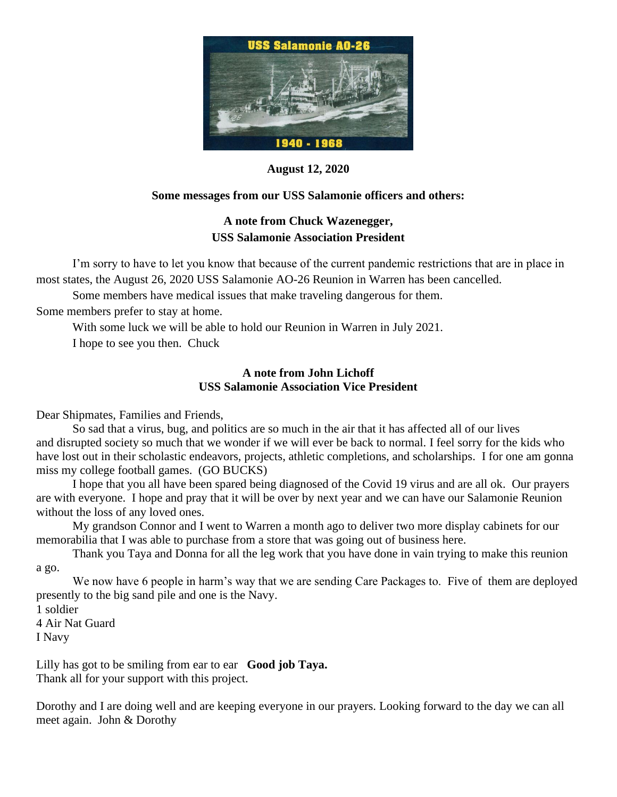

**August 12, 2020**

# **Some messages from our USS Salamonie officers and others:**

# **A note from Chuck Wazenegger, USS Salamonie Association President**

I'm sorry to have to let you know that because of the current pandemic restrictions that are in place in most states, the August 26, 2020 USS Salamonie AO-26 Reunion in Warren has been cancelled.

Some members have medical issues that make traveling dangerous for them.

Some members prefer to stay at home.

With some luck we will be able to hold our Reunion in Warren in July 2021.

I hope to see you then. Chuck

## **A note from John Lichoff USS Salamonie Association Vice President**

Dear Shipmates, Families and Friends,

So sad that a virus, bug, and politics are so much in the air that it has affected all of our lives and disrupted society so much that we wonder if we will ever be back to normal. I feel sorry for the kids who have lost out in their scholastic endeavors, projects, athletic completions, and scholarships. I for one am gonna miss my college football games. (GO BUCKS)

I hope that you all have been spared being diagnosed of the Covid 19 virus and are all ok. Our prayers are with everyone. I hope and pray that it will be over by next year and we can have our Salamonie Reunion without the loss of any loved ones.

My grandson Connor and I went to Warren a month ago to deliver two more display cabinets for our memorabilia that I was able to purchase from a store that was going out of business here.

Thank you Taya and Donna for all the leg work that you have done in vain trying to make this reunion a go.

We now have 6 people in harm's way that we are sending Care Packages to. Five of them are deployed presently to the big sand pile and one is the Navy.

1 soldier

4 Air Nat Guard I Navy

Lilly has got to be smiling from ear to ear **Good job Taya.** Thank all for your support with this project.

Dorothy and I are doing well and are keeping everyone in our prayers. Looking forward to the day we can all meet again. John & Dorothy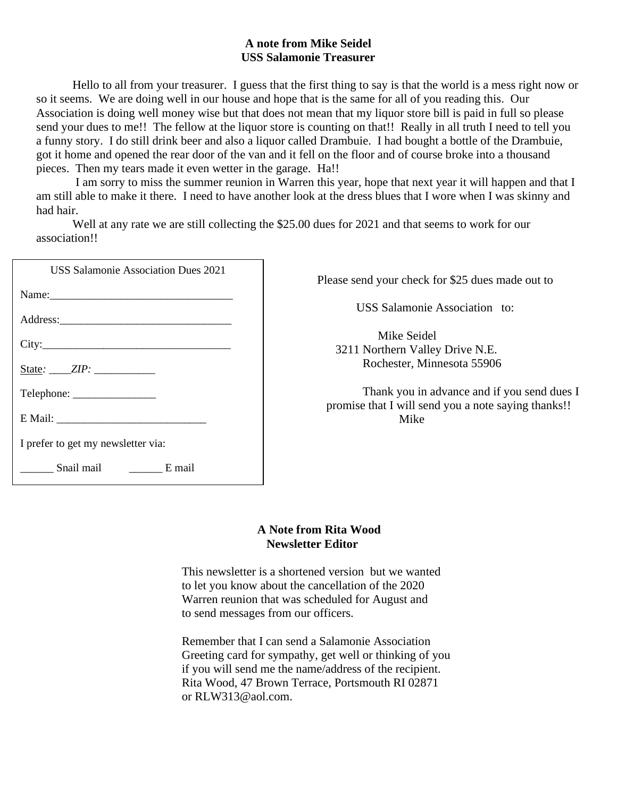### **A note from Mike Seidel USS Salamonie Treasurer**

Hello to all from your treasurer. I guess that the first thing to say is that the world is a mess right now or so it seems. We are doing well in our house and hope that is the same for all of you reading this. Our Association is doing well money wise but that does not mean that my liquor store bill is paid in full so please send your dues to me!! The fellow at the liquor store is counting on that!! Really in all truth I need to tell you a funny story. I do still drink beer and also a liquor called Drambuie. I had bought a bottle of the Drambuie, got it home and opened the rear door of the van and it fell on the floor and of course broke into a thousand pieces. Then my tears made it even wetter in the garage. Ha!!

I am sorry to miss the summer reunion in Warren this year, hope that next year it will happen and that I am still able to make it there. I need to have another look at the dress blues that I wore when I was skinny and had hair.

Well at any rate we are still collecting the \$25.00 dues for 2021 and that seems to work for our association!!

| <b>USS Salamonie Association Dues 2021</b> | Please send your chec                  |
|--------------------------------------------|----------------------------------------|
| Name:                                      |                                        |
|                                            | <b>USS</b> Salamon                     |
|                                            | Mike Seio<br>3211 Northern Va          |
| State: $ZIP$ :                             | Rochester, M                           |
|                                            | Thank you in<br>promise that I will so |
|                                            | Mike                                   |
| I prefer to get my newsletter via:         |                                        |
| Snail mail E mail                          |                                        |

Please send your check for \$25 dues made out to

USS Salamonie Association to:

 Mike Seidel 1 Northern Valley Drive N.E. 3211 Northern Valley Drive N.E. Rochester, Minnesota 55906

Thank you in advance and if you send dues I promise that I will send you a note saying thanks!!

### **A Note from Rita Wood Newsletter Editor**

This newsletter is a shortened version but we wanted to let you know about the cancellation of the 2020 Warren reunion that was scheduled for August and to send messages from our officers.

Remember that I can send a Salamonie Association Greeting card for sympathy, get well or thinking of you if you will send me the name/address of the recipient. Rita Wood, 47 Brown Terrace, Portsmouth RI 02871 or RLW313@aol.com.